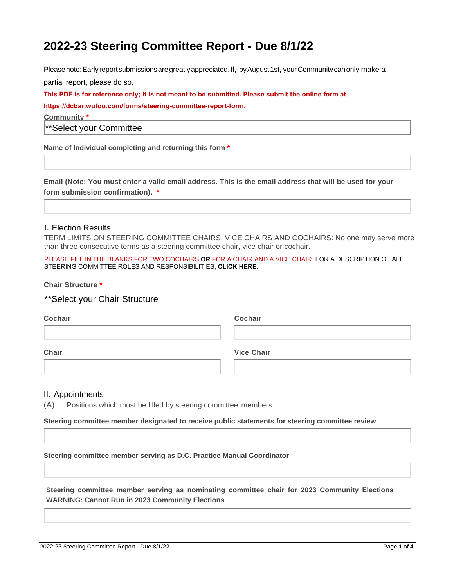# **2022-23 Steering Committee Report - Due 8/1/22**

Pleasenote:Earlyreportsubmissionsaregreatlyappreciated.If, byAugust1st, yourCommunitycanonly make a partial report, please do so.

**This PDF is for reference only; it is not meant to be submitted. Please submit the online form at https://dcbar.wufoo.com/forms/steering-committee-report-form.**

**Community \***

\*\*Select your Committee

**Name of Individual completing and returning this form \***

**Email (Note: You must enter a valid email address. This is the email address that will be used for your form submission confirmation). \***

## I. Election Results

TERM LIMITS ON STEERING COMMITTEE CHAIRS, VICE CHAIRS AND COCHAIRS: No one may serve more than three consecutive terms as a steering committee chair, vice chair or cochair.

PLEASE FILL IN THE BLANKS FOR TWO COCHAIRS **OR** FOR A CHAIR AND A VICE CHAIR. FOR A DESCRIPTION OF ALL STEERING COMMITTEE ROLES AND RESPONSIBILITIES, **CLICK HERE**.

**Chair Structure \***

\*\*Select your Chair Structure

| Cochair | Cochair           |  |
|---------|-------------------|--|
|         |                   |  |
| Chair   | <b>Vice Chair</b> |  |
|         |                   |  |

#### II. Appointments

(A) Positions which must be filled by steering committee members:

**Steering committee member designated to receive public statements for steering committee review**

**Steering committee member serving as D.C. Practice Manual Coordinator**

**Steering committee member serving as nominating committee chair for 2023 Community Elections WARNING: Cannot Run in 2023 Community Elections**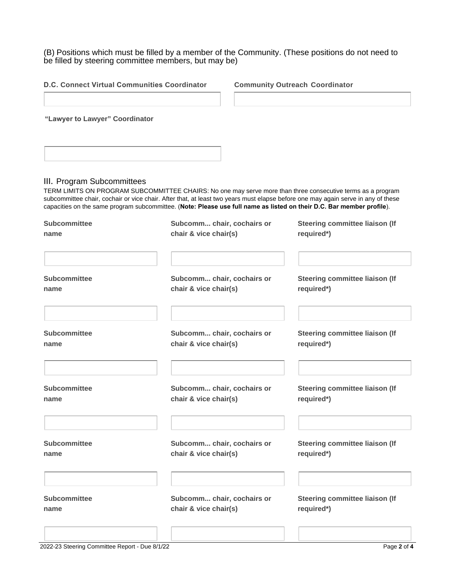(B) Positions which must be filled by a member of the Community. (These positions do not need to be filled by steering committee members, but may be)

|                                                     |  | Steering committee liaison (If<br>required*)                                                                                                                                                                                                                                                                                                                                                                                                                                                                                                                                                                                                                |
|-----------------------------------------------------|--|-------------------------------------------------------------------------------------------------------------------------------------------------------------------------------------------------------------------------------------------------------------------------------------------------------------------------------------------------------------------------------------------------------------------------------------------------------------------------------------------------------------------------------------------------------------------------------------------------------------------------------------------------------------|
|                                                     |  | Steering committee liaison (If<br>required*)                                                                                                                                                                                                                                                                                                                                                                                                                                                                                                                                                                                                                |
| Subcomm chair, cochairs or<br>chair & vice chair(s) |  | Steering committee liaison (If<br>required*)                                                                                                                                                                                                                                                                                                                                                                                                                                                                                                                                                                                                                |
|                                                     |  | <b>Steering committee liaison (If</b><br>required*)                                                                                                                                                                                                                                                                                                                                                                                                                                                                                                                                                                                                         |
|                                                     |  | Steering committee liaison (If<br>required*)                                                                                                                                                                                                                                                                                                                                                                                                                                                                                                                                                                                                                |
|                                                     |  | Steering committee liaison (If<br>required*)                                                                                                                                                                                                                                                                                                                                                                                                                                                                                                                                                                                                                |
|                                                     |  | TERM LIMITS ON PROGRAM SUBCOMMITTEE CHAIRS: No one may serve more than three consecutive terms as a program<br>subcommittee chair, cochair or vice chair. After that, at least two years must elapse before one may again serve in any of these<br>capacities on the same program subcommittee. (Note: Please use full name as listed on their D.C. Bar member profile).<br>Subcomm chair, cochairs or<br>chair & vice chair(s)<br>Subcomm chair, cochairs or<br>chair & vice chair(s)<br>Subcomm chair, cochairs or<br>chair & vice chair(s)<br>Subcomm chair, cochairs or<br>chair & vice chair(s)<br>Subcomm chair, cochairs or<br>chair & vice chair(s) |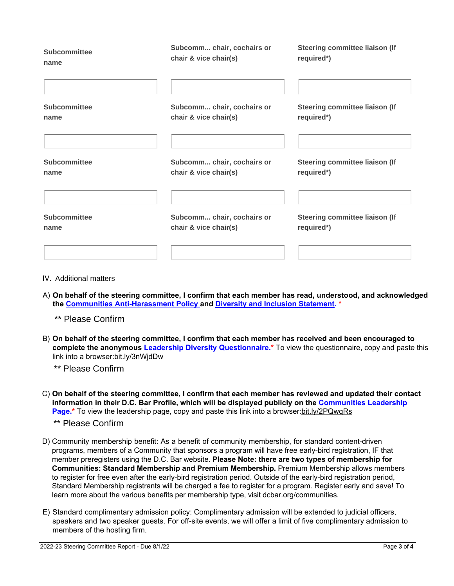<span id="page-2-0"></span>

| <b>Subcommittee</b> | Subcomm chair, cochairs or | Steering committee liaison (If |
|---------------------|----------------------------|--------------------------------|
| name                | chair & vice chair(s)      | required*)                     |
| <b>Subcommittee</b> | Subcomm chair, cochairs or | Steering committee liaison (If |
| name                | chair & vice chair(s)      | required*)                     |
| <b>Subcommittee</b> | Subcomm chair, cochairs or | Steering committee liaison (If |
| name                | chair & vice chair(s)      | required*)                     |
| <b>Subcommittee</b> | Subcomm chair, cochairs or | Steering committee liaison (If |
| name                | chair & vice chair(s)      | required*)                     |
|                     |                            |                                |

- IV. Additional matters
- A) **On behalf of the steering committee, I confirm that each member has read, understood, and acknowledged the Communities Anti-Harassment Policy and Diversity and Inclusion Statement. \***

[\\*\\* Please Confirm](#page-4-0)

B) **On behalf of the steering committee, I confirm that each member has received and been encouraged to complete the anonymous Leadership Diversity Questionnaire.\*** To view the questionnaire, copy and paste this link into a browser:bit.ly/3nWjdDw

\*\* Please Confirm

C) **On behalf of the steering committee, I confirm that each member has reviewed and updated their contact information in their D.C. Bar Profile, which will be displayed publicly on the Communities Leadership Page.\*** To view the leadership page, copy and paste this link into a browser:bit.ly/2PQwqRs

## \*\* Please Confirm

- D) Community membership benefit: As a benefit of community membership, for standard content-driven programs, members of a Community that sponsors a program will have free early-bird registration, IF that member preregisters using the D.C. Bar website. **Please Note: there are two types of membership for Communities: Standard Membership and Premium Membership.** Premium Membership allows members to register for free even after the early-bird registration period. Outside of the early-bird registration period, Standard Membership registrants will be charged a fee to register for a program. Register early and save! To learn more about the various benefits per membership type, visit dcbar.org/communities.
- E) Standard complimentary admission policy: Complimentary admission will be extended to judicial officers, speakers and two speaker guests. For off-site events, we will offer a limit of five complimentary admission to members of the hosting firm.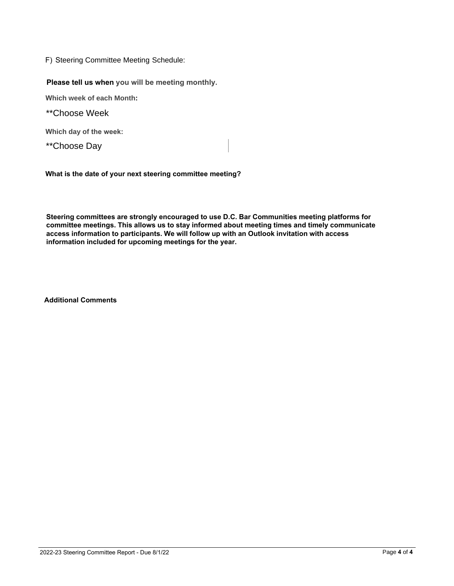F) Steering Committee Meeting Schedule:

**Please tell us when you will be meeting monthly.**

**Which week of each Month:**

\*\*Choose Week

**Which day of the week:**

\*\*Choose Day

**What is the date of your next steering committee meeting?**

**Steering committees are strongly encouraged to use D.C. Bar Communities meeting platforms for committee meetings. This allows us to stay informed about meeting times and timely communicate access information to participants. We will follow up with an Outlook invitation with access information included for upcoming meetings for the year.**

**Additional Comments**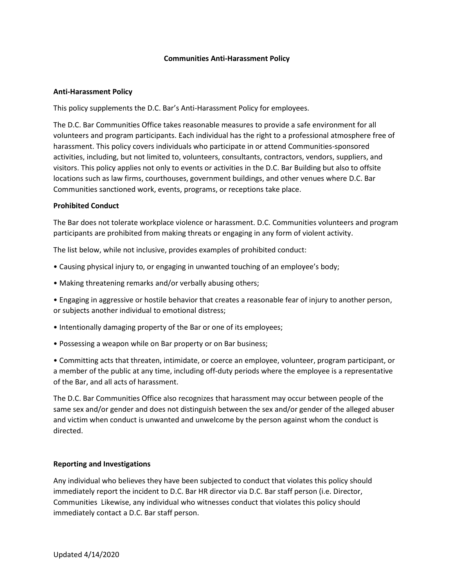## **Communities Anti-Harassment Policy**

## <span id="page-4-0"></span>**Anti-Harassment Policy**

This policy supplements the D.C. Bar's Anti-Harassment Policy for employees.

The D.C. Bar Communities Office takes reasonable measures to provide a safe environment for all volunteers and program participants. Each individual has the right to a professional atmosphere free of harassment. This policy covers individuals who participate in or attend Communities-sponsored activities, including, but not limited to, volunteers, consultants, contractors, vendors, suppliers, and visitors. This policy applies not only to events or activities in the D.C. Bar Building but also to offsite locations such as law firms, courthouses, government buildings, and other venues where D.C. Bar Communities sanctioned work, events, programs, or receptions take place.

## **Prohibited Conduct**

The Bar does not tolerate workplace violence or harassment. D.C. Communities volunteers and program participants are prohibited from making threats or engaging in any form of violent activity.

The list below, while not inclusive, provides examples of prohibited conduct:

- Causing physical injury to, or engaging in unwanted touching of an employee's body;
- Making threatening remarks and/or verbally abusing others;

• Engaging in aggressive or hostile behavior that creates a reasonable fear of injury to another person, or subjects another individual to emotional distress;

- Intentionally damaging property of the Bar or one of its employees;
- Possessing a weapon while on Bar property or on Bar business;

• Committing acts that threaten, intimidate, or coerce an employee, volunteer, program participant, or a member of the public at any time, including off-duty periods where the employee is a representative of the Bar, and all acts of harassment.

The D.C. Bar Communities Office also recognizes that harassment may occur between people of the same sex and/or gender and does not distinguish between the sex and/or gender of the alleged abuser and victim when conduct is unwanted and unwelcome by the person against whom the conduct is directed.

#### **Reporting and Investigations**

Any individual who believes they have been subjected to conduct that violates this policy should immediately report the incident to D.C. Bar HR director via D.C. Bar staff person (i.e. Director, Communities Likewise, any individual who witnesses conduct that violates this policy should immediately contact a D.C. Bar staff person.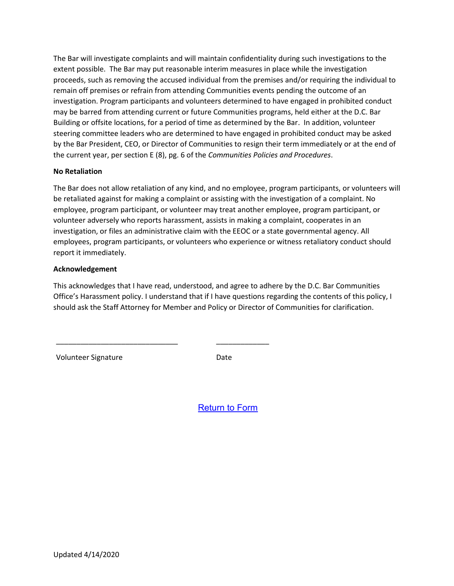The Bar will investigate complaints and will maintain confidentiality during such investigations to the extent possible. The Bar may put reasonable interim measures in place while the investigation proceeds, such as removing the accused individual from the premises and/or requiring the individual to remain off premises or refrain from attending Communities events pending the outcome of an investigation. Program participants and volunteers determined to have engaged in prohibited conduct may be barred from attending current or future Communities programs, held either at the D.C. Bar Building or offsite locations, for a period of time as determined by the Bar. In addition, volunteer steering committee leaders who are determined to have engaged in prohibited conduct may be asked by the Bar President, CEO, or Director of Communities to resign their term immediately or at the end of the current year, per section E (8), pg. 6 of the *Communities Policies and Procedures*.

# **No Retaliation**

The Bar does not allow retaliation of any kind, and no employee, program participants, or volunteers will be retaliated against for making a complaint or assisting with the investigation of a complaint. No employee, program participant, or volunteer may treat another employee, program participant, or volunteer adversely who reports harassment, assists in making a complaint, cooperates in an investigation, or files an administrative claim with the EEOC or a state governmental agency. All employees, program participants, or volunteers who experience or witness retaliatory conduct should report it immediately.

## **Acknowledgement**

This acknowledges that I have read, understood, and agree to adhere by the D.C. Bar Communities Office's Harassment policy. I understand that if I have questions regarding the contents of this policy, I should ask the Staff Attorney for Member and Policy or Director of Communities for clarification.

Volunteer Signature Date

\_\_\_\_\_\_\_\_\_\_\_\_\_\_\_\_\_\_\_\_\_\_\_\_\_\_\_\_\_\_ \_\_\_\_\_\_\_\_\_\_\_\_\_

[Return to Form](#page-2-0)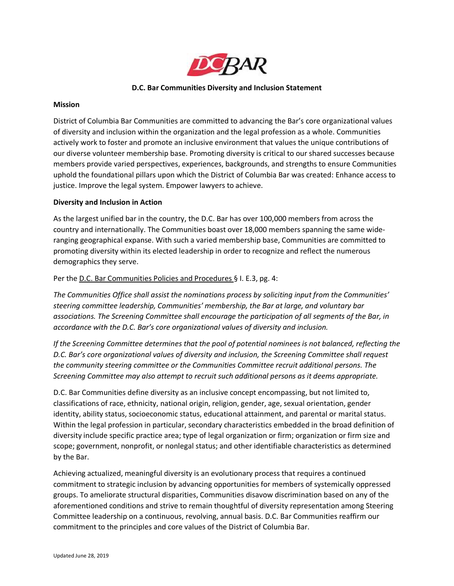

## **D.C. Bar Communities Diversity and Inclusion Statement**

#### **Mission**

District of Columbia Bar Communities are committed to advancing the Bar's core organizational values of diversity and inclusion within the organization and the legal profession as a whole. Communities actively work to foster and promote an inclusive environment that values the unique contributions of our diverse volunteer membership base. Promoting diversity is critical to our shared successes because members provide varied perspectives, experiences, backgrounds, and strengths to ensure Communities uphold the foundational pillars upon which the District of Columbia Bar was created: Enhance access to justice. Improve the legal system. Empower lawyers to achieve.

## **Diversity and Inclusion in Action**

As the largest unified bar in the country, the D.C. Bar has over 100,000 members from across the country and internationally. The Communities boast over 18,000 members spanning the same wideranging geographical expanse. With such a varied membership base, Communities are committed to promoting diversity within its elected leadership in order to recognize and reflect the numerous demographics they serve.

## Per the D.C. Bar Communities Policies and Procedures § I. E.3, pg. 4:

*The Communities Office shall assist the nominations process by soliciting input from the Communities' steering committee leadership, Communities' membership, the Bar at large, and voluntary bar associations. The Screening Committee shall encourage the participation of all segments of the Bar, in accordance with the D.C. Bar's core organizational values of diversity and inclusion.*

*If the Screening Committee determines that the pool of potential nominees is not balanced, reflecting the D.C. Bar's core organizational values of diversity and inclusion, the Screening Committee shall request the community steering committee or the Communities Committee recruit additional persons. The Screening Committee may also attempt to recruit such additional persons as it deems appropriate.* 

D.C. Bar Communities define diversity as an inclusive concept encompassing, but not limited to, classifications of race, ethnicity, national origin, religion, gender, age, sexual orientation, gender identity, ability status, socioeconomic status, educational attainment, and parental or marital status. Within the legal profession in particular, secondary characteristics embedded in the broad definition of diversity include specific practice area; type of legal organization or firm; organization or firm size and scope; government, nonprofit, or nonlegal status; and other identifiable characteristics as determined by the Bar.

Achieving actualized, meaningful diversity is an evolutionary process that requires a continued commitment to strategic inclusion by advancing opportunities for members of systemically oppressed groups. To ameliorate structural disparities, Communities disavow discrimination based on any of the aforementioned conditions and strive to remain thoughtful of diversity representation among Steering Committee leadership on a continuous, revolving, annual basis. D.C. Bar Communities reaffirm our commitment to the principles and core values of the District of Columbia Bar.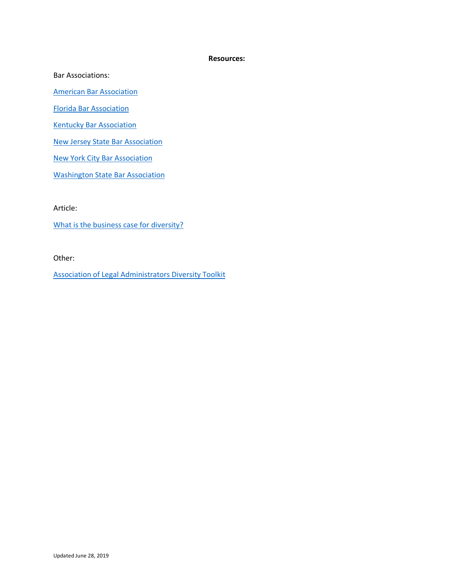#### **Resources:**

Bar Associations:

[American Bar Association](https://www.americanbar.org/groups/bar_services/resources/resourcepages/diversity/)

[Florida Bar Association](https://www.floridabar.org/about/diversity/)

**[Kentucky Bar Association](https://www.kybar.org/page/diversity)** 

[New Jersey State Bar Association](https://tcms.njsba.com/personifyebusiness/Leadership/OurCommitmentToDiversity.aspx)

[New York City Bar Association](https://www.nycbar.org/images/stories/pdfs/diversity/statement-of-diversity-principles.pdf)

[Washington State Bar Association](https://www.wsba.org/docs/default-source/about-wsba/diversity/7-wsba-diversity-and-inclusion-plan-(with-cover-page).pdf?sfvrsn=85be38f1_1)

Article:

[What is the business case for diversity?](https://medium.com/firm-ethics/what-is-the-business-case-for-diversity-6d1883621173)

Other:

[Association of Legal Administrators Diversity Toolkit](https://www.alanet.org/docs/default-source/diversity/toolkit-whitepaper-rev2.pdf?sfvrsn=2)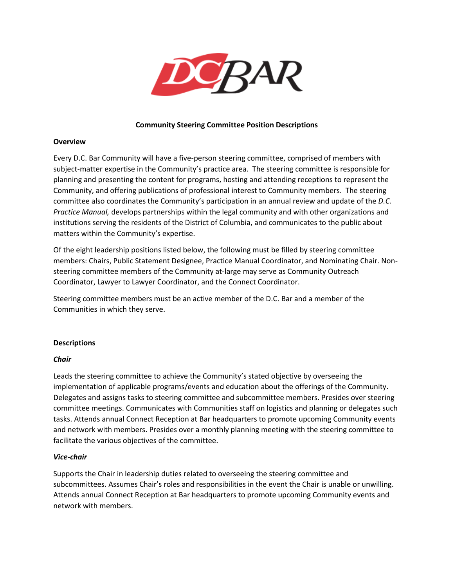

## **Community Steering Committee Position Descriptions**

## **Overview**

Every D.C. Bar Community will have a five-person steering committee, comprised of members with subject-matter expertise in the Community's practice area. The steering committee is responsible for planning and presenting the content for programs, hosting and attending receptions to represent the Community, and offering publications of professional interest to Community members. The steering committee also coordinates the Community's participation in an annual review and update of the *D.C. Practice Manual,* develops partnerships within the legal community and with other organizations and institutions serving the residents of the District of Columbia, and communicates to the public about matters within the Community's expertise.

Of the eight leadership positions listed below, the following must be filled by steering committee members: Chairs, Public Statement Designee, Practice Manual Coordinator, and Nominating Chair. Nonsteering committee members of the Community at-large may serve as Community Outreach Coordinator, Lawyer to Lawyer Coordinator, and the Connect Coordinator.

Steering committee members must be an active member of the D.C. Bar and a member of the Communities in which they serve.

## **Descriptions**

## *Chair*

Leads the steering committee to achieve the Community's stated objective by overseeing the implementation of applicable programs/events and education about the offerings of the Community. Delegates and assigns tasks to steering committee and subcommittee members. Presides over steering committee meetings. Communicates with Communities staff on logistics and planning or delegates such tasks. Attends annual Connect Reception at Bar headquarters to promote upcoming Community events and network with members. Presides over a monthly planning meeting with the steering committee to facilitate the various objectives of the committee.

## *Vice-chair*

Supports the Chair in leadership duties related to overseeing the steering committee and subcommittees. Assumes Chair's roles and responsibilities in the event the Chair is unable or unwilling. Attends annual Connect Reception at Bar headquarters to promote upcoming Community events and network with members.